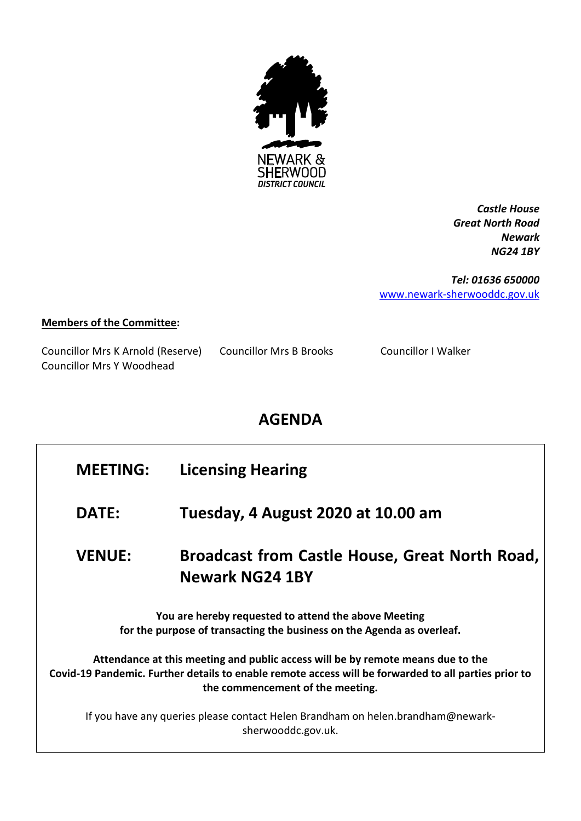

*Castle House Great North Road Newark NG24 1BY*

*Tel: 01636 650000* [www.newark-sherwooddc.gov.uk](http://www.newark-sherwooddc.gov.uk/)

## **Members of the Committee:**

Councillor Mrs K Arnold (Reserve) Councillor Mrs B Brooks Councillor I Walker Councillor Mrs Y Woodhead

## **AGENDA**

## **MEETING: Licensing Hearing**

**DATE: Tuesday, 4 August 2020 at 10.00 am**

**VENUE: Broadcast from Castle House, Great North Road, Newark NG24 1BY** 

**You are hereby requested to attend the above Meeting for the purpose of transacting the business on the Agenda as overleaf.**

**Attendance at this meeting and public access will be by remote means due to the Covid-19 Pandemic. Further details to enable remote access will be forwarded to all parties prior to the commencement of the meeting.**

If you have any queries please contact Helen Brandham on helen.brandham@newarksherwooddc.gov.uk.